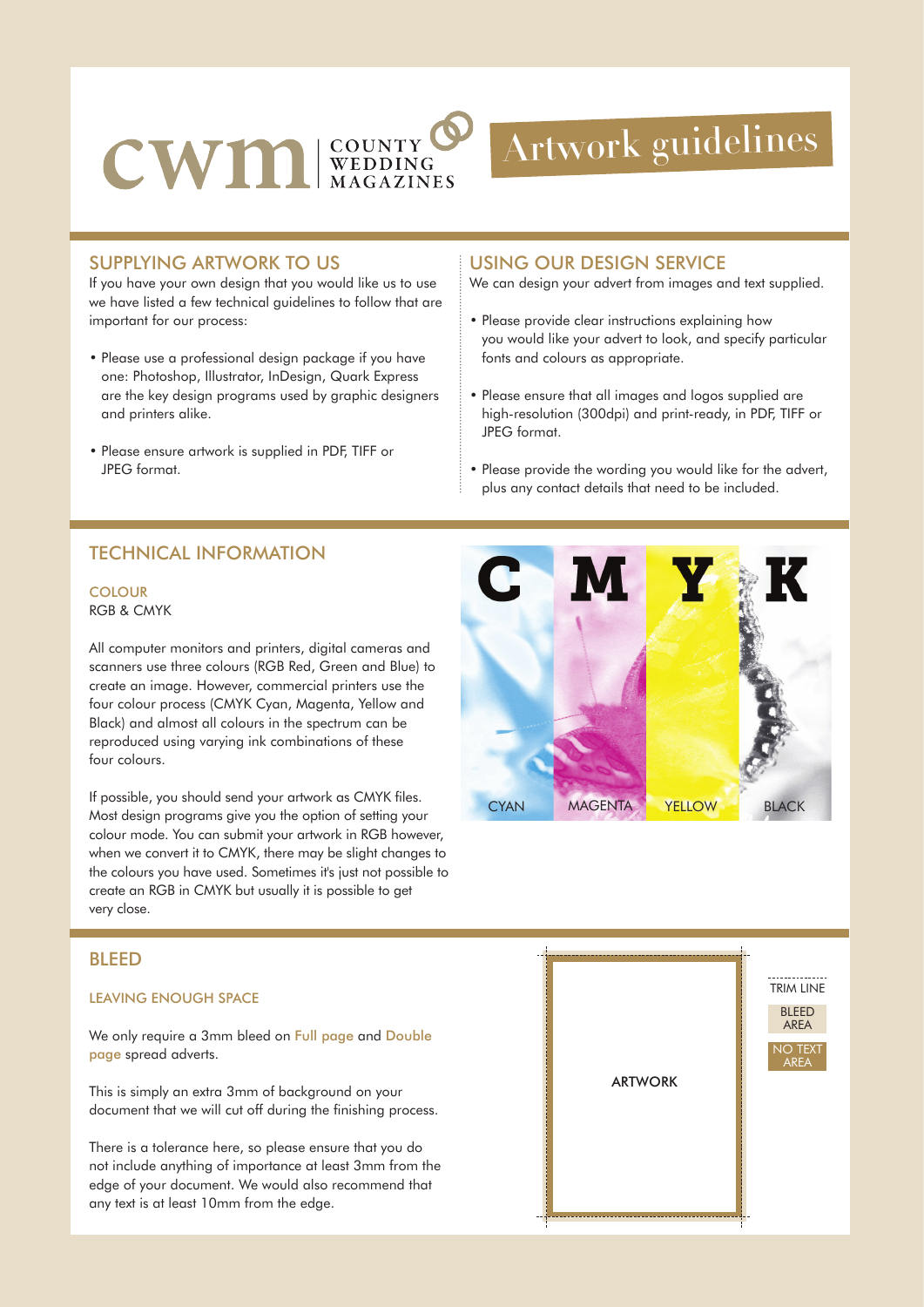

# Artwork guidelines

#### SUPPLYING ARTWORK TO US

If you have your own design that you would like us to use we have listed a few technical guidelines to follow that are important for our process:

- Please use a professional design package if you have • one: Photoshop, Illustrator, InDesign, Quark Express are the key design programs used by graphic designers • and printers alike.
- Please ensure artwork is supplied in PDF, TIFF or JPEG format.

## USING OUR DESIGN SERVICE

We can design your advert from images and text supplied.

- Please provide clear instructions explaining how • you would like your advert to look, and specify particular fonts and colours as appropriate.
- Please ensure that all images and logos supplied are high-resolution (300dpi) and print-ready, in PDF, TIFF or JPEG format.
- Please provide the wording you would like for the advert, • plus any contact details that need to be included.

## TECHNICAL INFORMATION

#### **COLOUR** RGB & CMYK

All computer monitors and printers, digital cameras and scanners use three colours (RGB Red, Green and Blue) to create an image. However, commercial printers use the four colour process (CMYK Cyan, Magenta, Yellow and Black) and almost all colours in the spectrum can be reproduced using varying ink combinations of these four colours.

If possible, you should send your artwork as CMYK files. Most design programs give you the option of setting your colour mode. You can submit your artwork in RGB however, when we convert it to CMYK, there may be slight changes to the colours you have used. Sometimes it's just not possible to create an RGB in CMYK but usually it is possible to get very close.

## BLEED

#### LEAVING ENOUGH SPACE

We only require a 3mm bleed on Full page and Double page spread adverts.

This is simply an extra 3mm of background on your document that we will cut off during the finishing process.

There is a tolerance here, so please ensure that you do not include anything of importance at least 3mm from the edge of your document. We would also recommend that any text is at least 10mm from the edge.